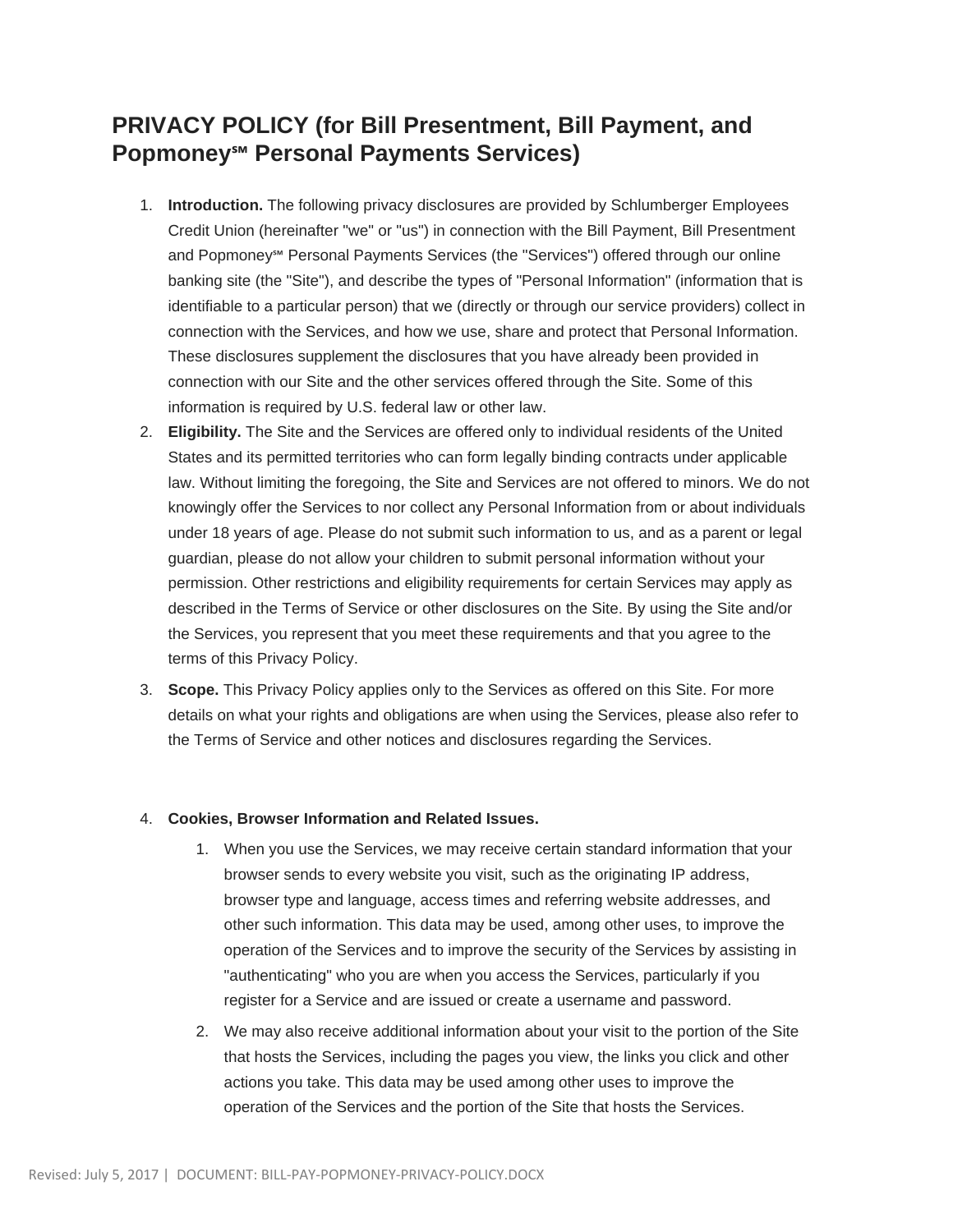## **PRIVACY POLICY (for Bill Presentment, Bill Payment, and Popmoney℠ Personal Payments Services)**

- 1. **Introduction.** The following privacy disclosures are provided by Schlumberger Employees Credit Union (hereinafter "we" or "us") in connection with the Bill Payment, Bill Presentment and Popmoney℠ Personal Payments Services (the "Services") offered through our online banking site (the "Site"), and describe the types of "Personal Information" (information that is identifiable to a particular person) that we (directly or through our service providers) collect in connection with the Services, and how we use, share and protect that Personal Information. These disclosures supplement the disclosures that you have already been provided in connection with our Site and the other services offered through the Site. Some of this information is required by U.S. federal law or other law.
- 2. **Eligibility.** The Site and the Services are offered only to individual residents of the United States and its permitted territories who can form legally binding contracts under applicable law. Without limiting the foregoing, the Site and Services are not offered to minors. We do not knowingly offer the Services to nor collect any Personal Information from or about individuals under 18 years of age. Please do not submit such information to us, and as a parent or legal guardian, please do not allow your children to submit personal information without your permission. Other restrictions and eligibility requirements for certain Services may apply as described in the Terms of Service or other disclosures on the Site. By using the Site and/or the Services, you represent that you meet these requirements and that you agree to the terms of this Privacy Policy.
- 3. **Scope.** This Privacy Policy applies only to the Services as offered on this Site. For more details on what your rights and obligations are when using the Services, please also refer to the Terms of Service and other notices and disclosures regarding the Services.

## 4. **Cookies, Browser Information and Related Issues.**

- 1. When you use the Services, we may receive certain standard information that your browser sends to every website you visit, such as the originating IP address, browser type and language, access times and referring website addresses, and other such information. This data may be used, among other uses, to improve the operation of the Services and to improve the security of the Services by assisting in "authenticating" who you are when you access the Services, particularly if you register for a Service and are issued or create a username and password.
- 2. We may also receive additional information about your visit to the portion of the Site that hosts the Services, including the pages you view, the links you click and other actions you take. This data may be used among other uses to improve the operation of the Services and the portion of the Site that hosts the Services.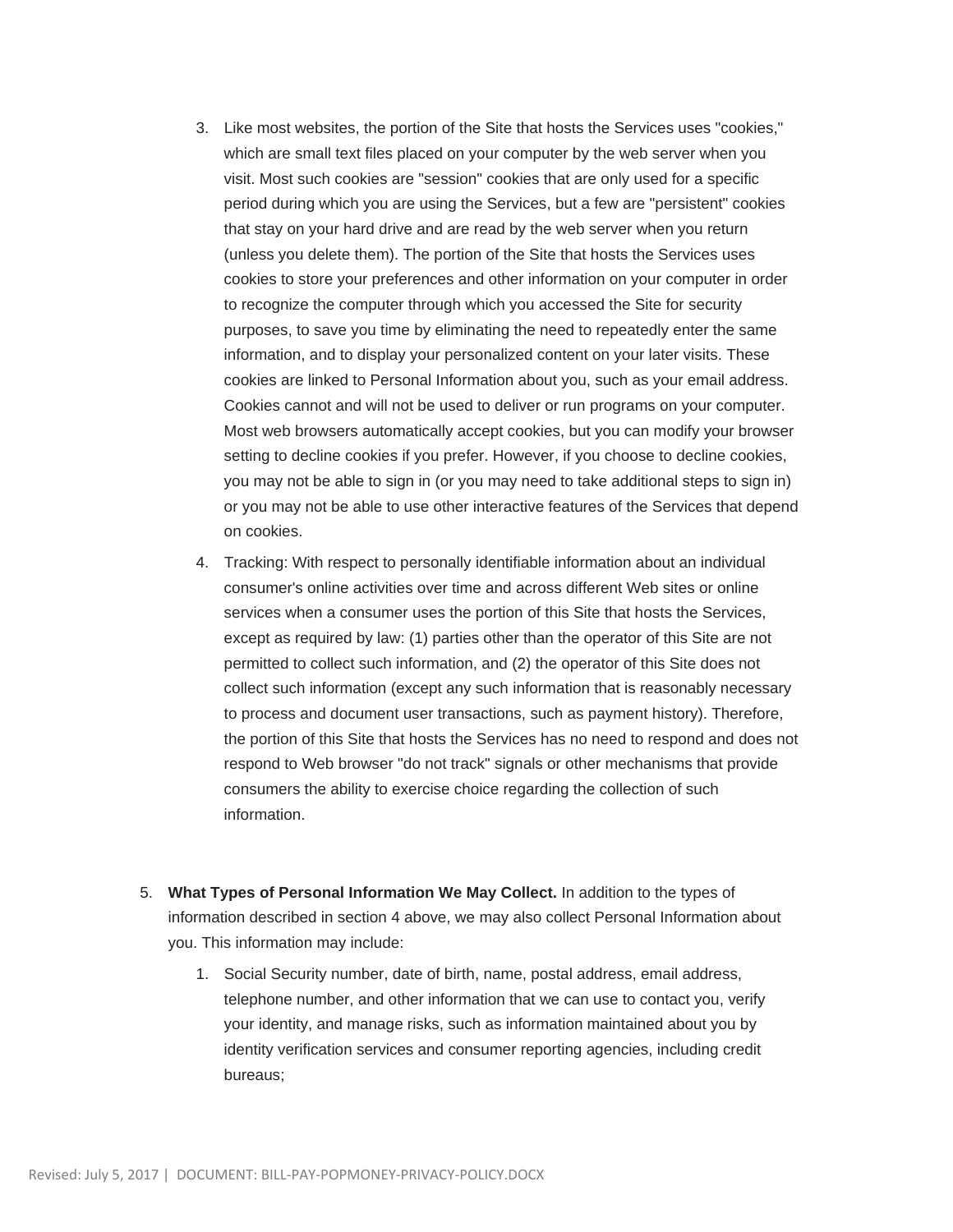- 3. Like most websites, the portion of the Site that hosts the Services uses "cookies," which are small text files placed on your computer by the web server when you visit. Most such cookies are "session" cookies that are only used for a specific period during which you are using the Services, but a few are "persistent" cookies that stay on your hard drive and are read by the web server when you return (unless you delete them). The portion of the Site that hosts the Services uses cookies to store your preferences and other information on your computer in order to recognize the computer through which you accessed the Site for security purposes, to save you time by eliminating the need to repeatedly enter the same information, and to display your personalized content on your later visits. These cookies are linked to Personal Information about you, such as your email address. Cookies cannot and will not be used to deliver or run programs on your computer. Most web browsers automatically accept cookies, but you can modify your browser setting to decline cookies if you prefer. However, if you choose to decline cookies, you may not be able to sign in (or you may need to take additional steps to sign in) or you may not be able to use other interactive features of the Services that depend on cookies.
- 4. Tracking: With respect to personally identifiable information about an individual consumer's online activities over time and across different Web sites or online services when a consumer uses the portion of this Site that hosts the Services, except as required by law: (1) parties other than the operator of this Site are not permitted to collect such information, and (2) the operator of this Site does not collect such information (except any such information that is reasonably necessary to process and document user transactions, such as payment history). Therefore, the portion of this Site that hosts the Services has no need to respond and does not respond to Web browser "do not track" signals or other mechanisms that provide consumers the ability to exercise choice regarding the collection of such information.
- 5. **What Types of Personal Information We May Collect.** In addition to the types of information described in section 4 above, we may also collect Personal Information about you. This information may include:
	- 1. Social Security number, date of birth, name, postal address, email address, telephone number, and other information that we can use to contact you, verify your identity, and manage risks, such as information maintained about you by identity verification services and consumer reporting agencies, including credit bureaus;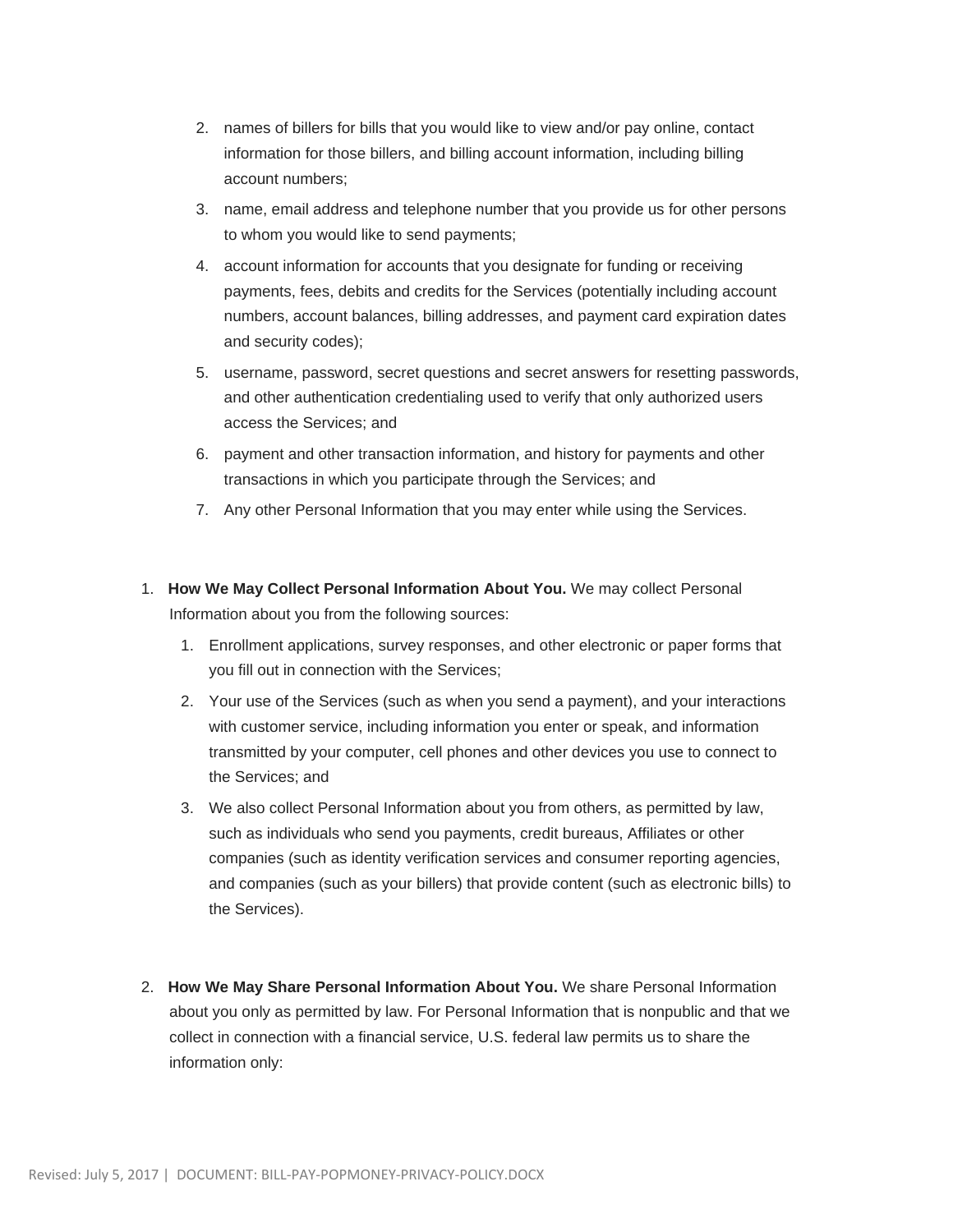- 2. names of billers for bills that you would like to view and/or pay online, contact information for those billers, and billing account information, including billing account numbers;
- 3. name, email address and telephone number that you provide us for other persons to whom you would like to send payments;
- 4. account information for accounts that you designate for funding or receiving payments, fees, debits and credits for the Services (potentially including account numbers, account balances, billing addresses, and payment card expiration dates and security codes);
- 5. username, password, secret questions and secret answers for resetting passwords, and other authentication credentialing used to verify that only authorized users access the Services; and
- 6. payment and other transaction information, and history for payments and other transactions in which you participate through the Services; and
- 7. Any other Personal Information that you may enter while using the Services.
- 1. **How We May Collect Personal Information About You.** We may collect Personal Information about you from the following sources:
	- 1. Enrollment applications, survey responses, and other electronic or paper forms that you fill out in connection with the Services;
	- 2. Your use of the Services (such as when you send a payment), and your interactions with customer service, including information you enter or speak, and information transmitted by your computer, cell phones and other devices you use to connect to the Services; and
	- 3. We also collect Personal Information about you from others, as permitted by law, such as individuals who send you payments, credit bureaus, Affiliates or other companies (such as identity verification services and consumer reporting agencies, and companies (such as your billers) that provide content (such as electronic bills) to the Services).
- 2. **How We May Share Personal Information About You.** We share Personal Information about you only as permitted by law. For Personal Information that is nonpublic and that we collect in connection with a financial service, U.S. federal law permits us to share the information only: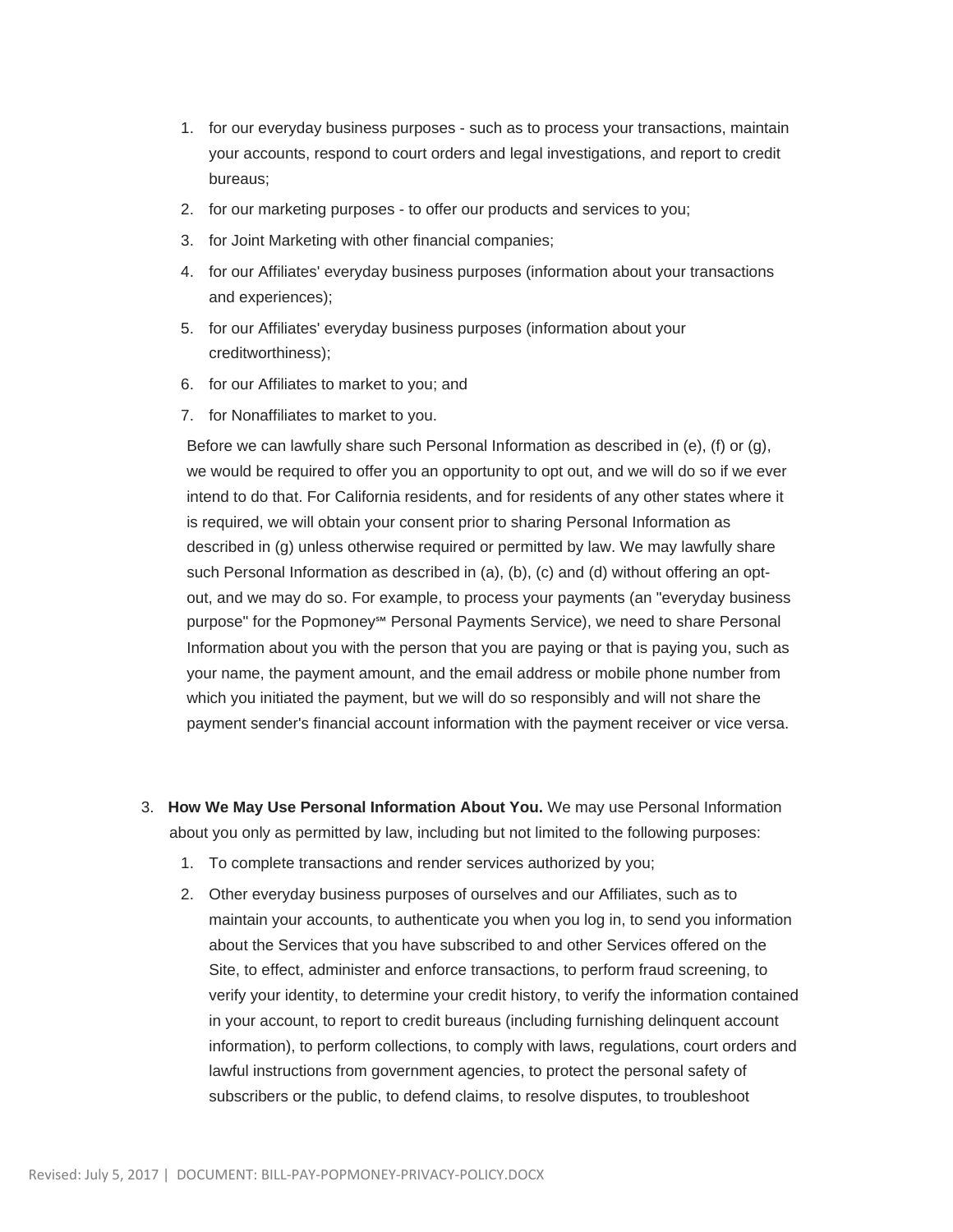- 1. for our everyday business purposes such as to process your transactions, maintain your accounts, respond to court orders and legal investigations, and report to credit bureaus;
- 2. for our marketing purposes to offer our products and services to you;
- 3. for Joint Marketing with other financial companies;
- 4. for our Affiliates' everyday business purposes (information about your transactions and experiences);
- 5. for our Affiliates' everyday business purposes (information about your creditworthiness);
- 6. for our Affiliates to market to you; and
- 7. for Nonaffiliates to market to you.

Before we can lawfully share such Personal Information as described in (e), (f) or (g), we would be required to offer you an opportunity to opt out, and we will do so if we ever intend to do that. For California residents, and for residents of any other states where it is required, we will obtain your consent prior to sharing Personal Information as described in (g) unless otherwise required or permitted by law. We may lawfully share such Personal Information as described in (a), (b), (c) and (d) without offering an optout, and we may do so. For example, to process your payments (an "everyday business purpose" for the Popmoney<sup>s</sup><sup>™</sup> Personal Payments Service), we need to share Personal Information about you with the person that you are paying or that is paying you, such as your name, the payment amount, and the email address or mobile phone number from which you initiated the payment, but we will do so responsibly and will not share the payment sender's financial account information with the payment receiver or vice versa.

- 3. **How We May Use Personal Information About You.** We may use Personal Information about you only as permitted by law, including but not limited to the following purposes:
	- 1. To complete transactions and render services authorized by you;
	- 2. Other everyday business purposes of ourselves and our Affiliates, such as to maintain your accounts, to authenticate you when you log in, to send you information about the Services that you have subscribed to and other Services offered on the Site, to effect, administer and enforce transactions, to perform fraud screening, to verify your identity, to determine your credit history, to verify the information contained in your account, to report to credit bureaus (including furnishing delinquent account information), to perform collections, to comply with laws, regulations, court orders and lawful instructions from government agencies, to protect the personal safety of subscribers or the public, to defend claims, to resolve disputes, to troubleshoot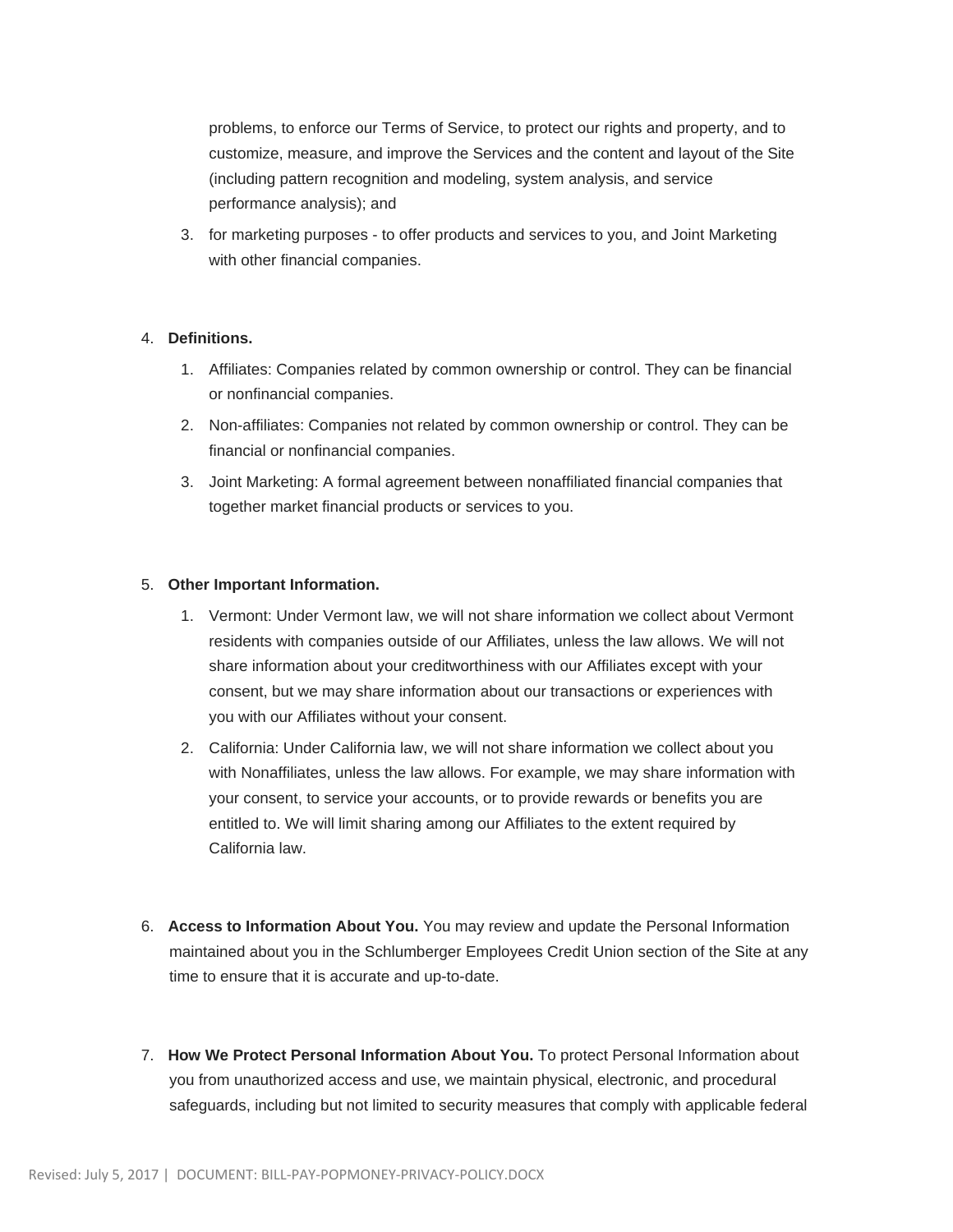problems, to enforce our Terms of Service, to protect our rights and property, and to customize, measure, and improve the Services and the content and layout of the Site (including pattern recognition and modeling, system analysis, and service performance analysis); and

3. for marketing purposes - to offer products and services to you, and Joint Marketing with other financial companies.

## 4. **Definitions.**

- 1. Affiliates: Companies related by common ownership or control. They can be financial or nonfinancial companies.
- 2. Non-affiliates: Companies not related by common ownership or control. They can be financial or nonfinancial companies.
- 3. Joint Marketing: A formal agreement between nonaffiliated financial companies that together market financial products or services to you.

## 5. **Other Important Information.**

- 1. Vermont: Under Vermont law, we will not share information we collect about Vermont residents with companies outside of our Affiliates, unless the law allows. We will not share information about your creditworthiness with our Affiliates except with your consent, but we may share information about our transactions or experiences with you with our Affiliates without your consent.
- 2. California: Under California law, we will not share information we collect about you with Nonaffiliates, unless the law allows. For example, we may share information with your consent, to service your accounts, or to provide rewards or benefits you are entitled to. We will limit sharing among our Affiliates to the extent required by California law.
- 6. **Access to Information About You.** You may review and update the Personal Information maintained about you in the Schlumberger Employees Credit Union section of the Site at any time to ensure that it is accurate and up-to-date.
- 7. **How We Protect Personal Information About You.** To protect Personal Information about you from unauthorized access and use, we maintain physical, electronic, and procedural safeguards, including but not limited to security measures that comply with applicable federal